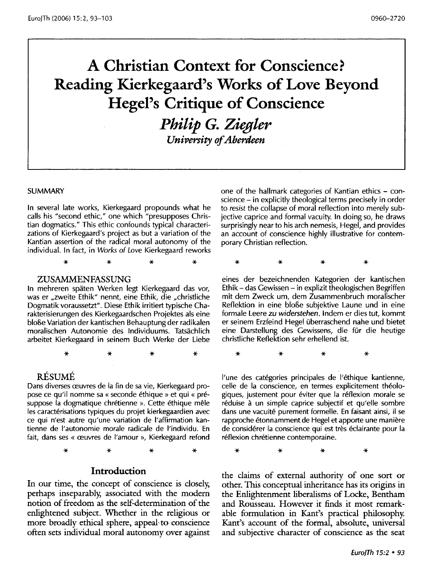# **A Christian Context for Conscience? Reading Kierkegaard's Works of Love Beyond Hegel's Critique of Conscience**

**Philip G. Ziegler** *University of Aberdeen* 

SUMMARY

In several late works, Kierkegaard propounds what he calls his "second ethic," one which "presupposes Christian dogmatics." This ethic confounds typical characterizations of Kierkegaard's project as but a variation of the Kantian assertion of the radical moral autonomy of the individual. In fact, in Works of Love Kierkegaard reworks

\* \* \* \*

#### ZUSAMMENFASSUNG

In mehreren spaten Werken legt Kierkegaard das vor, was er "zweite Ethik" nennt, eine Ethik, die "christliche Dogmatik voraussetzt". Diese Ethik irritiert typische Charakterisierungen des Kierkegaardschen Projektes als eine bloße Variation der kantischen Behauptung der radikalen moralischen Autonomie des lndividuums. Tatsachlich arbeitet Kierkegaard in seinem Buch Werke der Liebe

\* \* \* \*

#### RESUME

Dans diverses œuvres de la fin de sa vie, Kierkegaard propose ce qu'il nomme sa « seconde ethique » et qui « presuppose la dogmatique chrétienne ». Cette éthique mêle les caractérisations typiques du projet kierkegaardien avec ce qui n'est autre qu'une variation de !'affirmation kantienne de l'autonomie morale radicale de l'individu. En fait, dans ses « œuvres de l'amour », Kierkegaard refond

\* \* \* \*

#### **Introduction**

In our time, the concept of conscience is closely, perhaps inseparably, associated with the modern notion of freedom as the self-determination of the enlightened subject. Whether in the religious or more broadly ethical sphere, appeal to conscience often sets individual moral autonomy over against one of the hallmark categories of Kantian ethics - conscience- in explicitly theological terms precisely in order to resist the collapse of moral reflection into merely subjective caprice and formal vacuity. In doing so, he draws surprisingly near to his arch nemesis, Hegel, and provides an account of conscience highly illustrative for contemporary Christian reflection.

\* \* \* \*

eines der bezeichnenden Kategorien der kantischen Ethik- das Gewissen- in explizit theologischen Begriffen mit dem Zweck urn, dem Zusammenbruch moralischer Reflektion in eine bloBe subjektive Laune und in eine formale Leere zu widerstehen. lndem er dies tut, kommt er seinem Erzfeind Hegel uberraschend nahe und bietet eine Darstellung des Gewissens, die für die heutige christliche Reflektion sehr erhellend ist.

\* \* \* \*

l'une des catégories principales de l'éthique kantienne, celle de la conscience, en termes explicitement théologiques, justement pour éviter que la réflexion morale se réduise à un simple caprice subjectif et qu'elle sombre dans une vacuite purement formelle. En faisant ainsi, il se rapproche etonnamment de Hegel et apporte une maniere de considerer la conscience qui est tres eclairante pour la réflexion chrétienne contemporaine.

\* \* \* \*

the claims of external authority of one sort or other. This conceptual inheritance has its origins in the Enlightenment liberalisms of Locke, Bentham and Rousseau. However it finds it most remarkable formulation in Kant's practical philosophy. Kant's account of the formal, absolute, universal and subjective character of conscience as the seat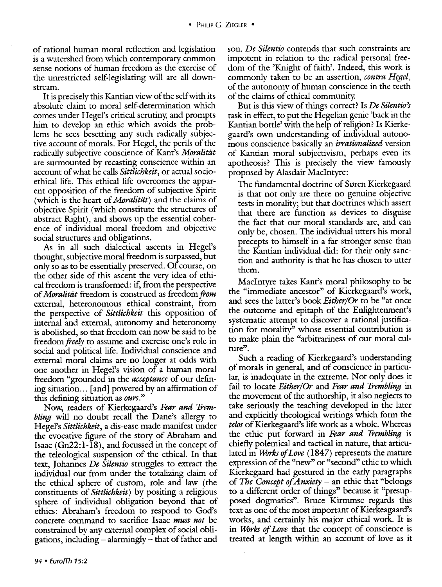of rational human moral reflection and legislation is a watershed from which contemporary common sense notions of human freedom as the exercise of the unrestricted self-legislating will are all downstream.

It is precisely this Kantian view of the self with its absolute claim to moral self-determination which comes under Hegel's critical scrutiny, and prompts him to develop an ethic which avoids the problems he sees besetting any such radically subjective account of morals. For Hegel, the perils of the radically subjective conscience of Kant's *Moralitiit*  are surmounted by recasting conscience within an account of what he calls *Sittlichkeit,* or actual socioethical life. This ethical life overcomes the apparent opposition of the freedom of subjective Spirit (which is the heart of *Moralitiit)* and the claims of objective Spirit (which constitute the structures of abstract Right), and shows up the essential coherence of individual moral freedom and objective social structures and obligations.

As in all such dialectical ascents in Hegel's thought, subjective moral freedom is surpassed, but only so as to be essentially preserved. Of course, on the other side of this ascent the very idea of ethical freedom is transformed: if, from the perspective of *Moralitiit* freedom is construed as freedom *from*  external, heteronomous ethical constraint, from the perspective of *Sittlichkeit* this opposition of internal and external, autonomy and heteronomy is abolished, so that freedom can now be said to be freedom *freely* to assume and exercise one's role in social and political life. Individual conscience and external moral claims are no longer at odds with one another in Hegel's vision of a human moral freedom "grounded in the *acceptance* of our defining situation... [and] powered by an affirmation of this defining situation as *ours."* 

Now, readers of Kierkegaard's *Fear and Trembling* will no doubt recall the Dane's allergy to Hegel's *Sittlichkeit,* a dis-ease made manifest under the evocative figure of the story of Abraham and Isaac (Gn22:l-l8), and focussed in the concept of the teleological suspension of the ethical. In that text, Johannes *De Silentio* struggles to extract the individual out from under the totalizing claim of the ethical sphere of custom, role and law (the constituents of *Sittlichkeit)* by positing a religious sphere of individual obligation beyond that of ethics: Abraham's freedom to respond to God's concrete command to sacrifice Isaac *must not* be constrained by any external complex of social obligations, including - alarmingly- that of father and son. *De Silentio* contends that such constraints are impotent in relation to the radical personal freedom of the 'Knight of faith'. Indeed, this work is commonly taken to be an assertion, *contra Hegel,*  of the autonomy of human conscience in the teeth of the claims of ethical community.

But is this view of things correct? Is *De Silentio's*  task in effect, to put the Hegelian genie 'back in the Kantian bottle' with the help of religion? Is Kierkegaard's own understanding of individual autonomous conscience basically an *irrationalized* version of Kantian moral subjectivism, perhaps even its apotheosis? This is precisely the view famously proposed by Alasdair Maclntyre:

The fundamental doctrine of Søren Kierkegaard is that not only are there no genuine objective tests in morality; but that doctrines which assert that there are function as devices to disguise the fact that our moral standards are, and can only be, chosen. The individual utters his moral precepts to himself in a far stronger sense than the Kantian individual did: for their only sanction and authority is that he has chosen to utter them.

Maclntyre takes Kant's moral philosophy to be the "immediate ancestor" of Kierkegaard's work, and sees the latter's book *Either/Or* to be "at once the outcome and epitaph of the Enlightenment's systematic attempt to discover a rational justification for morality'' whose essential contribution is to make plain the "arbitrariness of our moral culture".

Such a reading of Kierkegaard's understanding of morals in general, and of conscience in particular, is inadequate in the extreme. Not only does it fail to locate *Either/Or* and *Fear and Trembling* in the movement of the authorship, it also neglects to take seriously the teaching developed in the later and explicitly theological writings which form the *telos* of Kierkegaard's life work as a whole. Whereas the ethic put forward in *Fear and Trembling* is chiefly polemical and tactical in nature, that articulated in *UVrks of Love* (1847) represents the mature expression of the "new" or "second" ethic to which Kierkegaard had gestured in the early paragraphs of *The Concept of Anxiety* - an ethic that "belongs to a different order of things" because it "presupposed dogmatics". Bruce Kirmmse regards this text as one of the most important of Kierkeagaard's works, and certainly his major ethical work. It is in *UVrks of Love* that the concept of conscience is treated at length within an account of love as it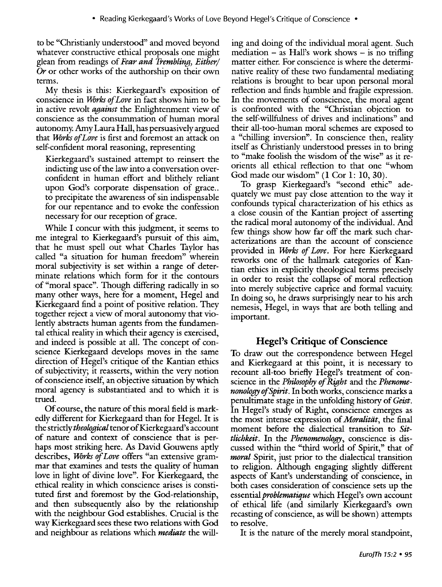to be "Christianly understood" and moved beyond whatever constructive ethical proposals one might glean from readings of *Fear and Trembling, Either/ Or* or other works of the authorship on their own terms.

My thesis is this: Kierkegaard's exposition of conscience in *Works of Love* in fact shows him to be in active revolt *against* the Enlightenment view of conscience as the consummation of human moral autonomy. Amy Laura Hall, has persuasively argued that *UVrks of Love* is first and foremost an attack on self-confident moral reasoning, representing

Kierkegaard's sustained attempt to reinsert the indicting use of the law into a conversation overconfident in human effort and blithely reliant upon God's corporate dispensation of grace... to precipitate the awareness of sin indispensable for our repentance and to evoke the confession necessary for our reception of grace.

While I concur with this judgment, it seems to me integral to Kierkegaard's pursuit of this aim, that he must spell out what Charles Taylor has called "a situation for human freedom" wherein moral subjectivity is set within a range of determinate relations which form for it the contours of "moral space". Though differing radically in so many other ways, here for a moment, Hegel and Kierkegaard find a point of positive relation. They together reject a view of moral autonomy that violently abstracts human agents from the fundamental ethical reality in which their agency is exercised, and indeed is possible at all. The concept of conscience Kierkegaard develops moves in the same direction of Hegel's critique of the Kantian ethics of subjectivity; it reasserts, within the very notion of conscience itself, an objective situation by which moral agency is substantiated and to which it is trued.

Of course, the nature of this moral field is markedly different for Kierkegaard than for Hegel. It is the strictly *theological* tenor of Kierkegaard's account of nature and context of conscience that is perhaps most striking here. *As* David Gouwens aptly describes, *Works of Love* offers "an extensive grammar that examines and tests the quality of human love in light of divine love". For Kierkegaard, the ethical reality in which conscience arises is constituted first and foremost by the God-relationship, and then subsequently also by the relationship with the neighbour God establishes. Crucial is the way Kierkegaard sees these two relations with God and neighbour as relations which *mediate* the will-

ing and doing of the individual moral agent. Such mediation  $-$  as Hall's work shows  $-$  is no trifling matter either. For conscience is where the determinative reality of these two fundamental mediating relations is brought to bear upon personal moral reflection and finds humble and fragile expression. In the movements of conscience, the moral agent is confronted with the "Christian objection to the self-willfulness of drives and inclinations" and their all-too-human moral schemes are exposed to a "chilling inversion". In conscience then, reality itself as Christianly understood presses in to bring to "make foolish the wisdom of the wise" as it reorients all ethical reflection to that one "whom God made our wisdom" **(1 Cor 1:** 10, 30).

To grasp Kierkegaard's "second ethic" adequately we must pay close attention to the way it confounds typical characterization of his ethics as a close cousin of the Kantian project of asserting the radical moral autonomy of the individual. And few things show how far off the mark such characterizations are than the account of conscience provided in *UVrks of Love.* For here Kierkegaard reworks one of the hallmark categories of Kantian ethics in explicitly theological terms precisely in order to resist the collapse of moral reflection into merely subjective caprice and formal vacuity. In doing so, he draws surprisingly near to his arch nemesis, Hegel, in ways that are both telling and important.

## **Hegel's Critique of Conscience**

To draw out the correspondence between Hegel and Kierkegaard at this point, it is necessary to recount all-too briefly Hegel's treatment of conscience in the *Philosophy of Right* and the *Phenomenonology ofSpirit.* In both works, conscience marks a penultimate stage in the unfolding history of *Geist.*  In Hegel's study of Right, conscience emerges as the most intense expression of *Moralitat,* the final moment before the dialectical transition to *Sittlichkeit.* In the *Phenomenology,* conscience is discussed within the "third world of Spirit," that of *moral* Spirit, just prior to the dialectical transition to religion. Although engaging slightly different aspects of Kant's understanding of conscience, in both cases consideration of conscience sets up the essential *problematique* which Hegel's own account of ethical life (and similarly Kierkegaard's own recasting of conscience, as will be shown) attempts to resolve.

It is the nature of the merely moral standpoint,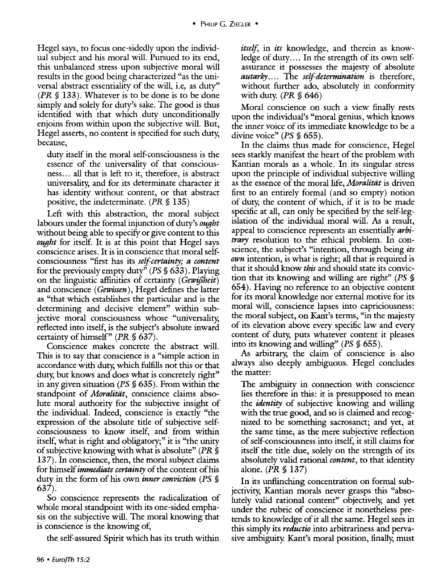Hegel says, to focus one-sidedly upon the individual subject and his moral will. Pursued to its end, this unbalanced stress upon subjective moral will results in the good being characterized "as the universal abstract essentiality of the will, i.e, as duty'' *(PR§* 133). Whatever is to be done is to be done simply and solely for duty's sake. The good is thus identified with that which duty unconditionally enjoins from within upon the subjective will. But, Hegel asserts, no content is specified for such duty, because,

duty itself in the moral self-consciousness is the essence of the universality of that consciousness... all that is left to it, therefore, is abstract universality, and for its determinate character it has identity without content, or that abstract positive, the indeterminate. *(PR§* 135)

Left with this abstraction, the moral subject labours under the formal injunction of duty's *ought*  without being able to specify or give content to this *ought* for itself. It is at this point that Hegel says conscience arises. It is in conscience that moral selfconsciousness "first has its *self-certainty; a content*  for the previously empty duty'' *(PS* § 633). Playing on the linguistic affinities of certainty *(Gewiflheit)*  and conscience ( *Gewissen),* Hegel defines the latter as "that which establishes the particular and is the determining and decisive element'' within subjective moral consciousness whose "universality, reflected into itself, is the subject's absolute inward certainty of himself" *(PR§* 637).

Conscience makes concrete the abstract will. This is to say that conscience is a "simple action in accordance with duty, which fulfills not this or that duty, but knows and does what is concretely right'' in any given situation *(PS§* 635). From within the standpoint of *Moralitat*, conscience claims absolute moral authority for the subjective insight of the individual. Indeed, conscience is exactly "the expression of the absolute title of subjective selfconsciousness to know itself, and from within itself, what is right and obligatory;" it is "the unity" of subjective knowing with what is absolute" *(PR* § 137). In conscience, then, the moral subject claims for himself *immediate certainty* of the content of his duty in the form of his own *inner conviction (PS* § 637).

So conscience represents the radicalization of whole moral standpoint with its one-sided emphasis on the subjective will. The moral knowing that is conscience is the knowing of,

the self-assured Spirit which has its truth within

*itself,* in *its* knowledge, and therein as knowledge of duty.... In the strength of its own selfassurance it possesses the majesty of absolute *autarky.* . . . The *self-determination* is therefore, without further ado, absolutely in conformity with duty. *(PR* § 646)

Moral conscience on such a view finally rests upon the individual's "moral genius, which knows the inner voice of its immediate knowledge to be a divine voice" *(PS* § 655).

In the claims thus made for conscience, Hegel sees starkly manifest the heart of the problem with Kantian morals as a whole. In its singular stress upon the principle of individual subjective willing as the essence of the moral life, *Moralitdt* is driven first to an entirely formal (and so empty) notion of duty, the content of which, if it is to be made specific at all, can only be specified by the self-legislation of the individual moral will. *As* a result, appeal to conscience represents an essentially *arbitrary* resolution to the ethical problem. In conscience, the subject's "intention, through being *its own* intention, is what is right; all that is required is that it should know *this* and should state its conviction that its knowing and willing are right'' *(PS* § 654). Having no reference to an objective content for its moral knowledge nor external motive for its moral will, conscience lapses into capriciousness: the moral subject, on Kant's terms, "in the majesty of its elevation above every specific law and every content of duty, puts whatever content it pleases into its knowing and willing'' *(PS§* 655).

*As* arbitrary, the claim of conscience is also always also deeply ambiguous. Hegel concludes the matter:

The ambiguity in connection with conscience lies therefore in this: it is presupposed to mean the *identity* of subjective knowing and willing with the true good, and so is claimed and recognized to be something sacrosanct; and yet, at the same time, as the mere subjective reflection of self-consciousness into itself, it still claims for itself the title due, solely on the strength of its absolutely valid rational *content,* to that identity alone. *(PR* § 137)

In its unflinching concentration on formal subjectivity, Kantian morals never grasps this "absolutely valid rational content" objectively, and yet under the rubric of conscience it nonetheless pretends to knowledge of it all the same. Hegel sees in this simply its *reductio* into arbitrariness and pervasive ambiguity. Kant's moral position, finally, must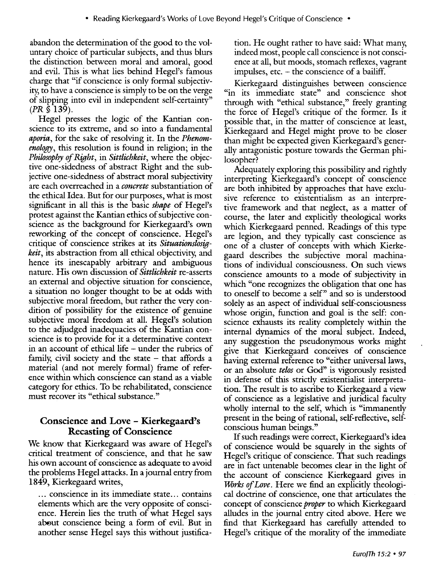abandon the determination of the good to the voluntary choice of particular subjects, and thus blurs the distinction between moral and amoral, good and evil. This is what lies behind Hegel's famous charge that "if conscience is only formal subjectivity, to have a conscience is simply to be on the verge of slipping into evil in independent self-certainty"  $(PR \$  139).

Hegel presses the logic of the Kantian conscience to its extreme, and so into a fundamental *aporia,* for the sake of resolving it. In the *Phenomenology,* this resolution is found in religion; in the *Philosophy of Right,* in *Sittlichkeit,* where the objective one-sidedness of abstract Right and the subjective one-sidedness of abstract moral subjectivity are each overreached in a *concrete* substantiation of the ethical Idea. But for our purposes, what is most significant in all this is the basic *shape* of Hegel's protest against the Kantian ethics of subjective conscience as the background for Kierkegaard's own reworking of the concept of conscience. Hegel's critique of conscience strikes at its *Situationslosigkeit,* its abstraction from all ethical objectivity, and hence its inescapably arbitrary and ambiguous nature. His own discussion of *Sittlichkeit* re-asserts an external and objective situation for conscience, a situation no longer thought to be at odds with subjective moral freedom, but rather the very condition of possibility for the existence of genuine subjective moral freedom at all. Hegel's solution to the adjudged inadequacies of the Kantian conscience is to provide for it a determinative context in an account of ethical life - under the rubrics of family, civil society and the state  $-$  that affords a material (and not merely formal) frame of reference within which conscience can stand as a viable category for ethics. To be rehabilitated, conscience must recover its "ethical substance."

## **Conscience and Love - Kierkegaard's Recasting of Conscience**

We know that Kierkegaard was aware of Hegel's critical treatment of conscience, and that he saw his own account of conscience as adequate to avoid the problems Hegel attacks. In a journal entry from 1849, Kierkegaard writes,

... conscience in its immediate state ... contains elements which are the very opposite of conscience. Herein lies the truth of what Hegel says about conscience being a form of evil. But in another sense Hegel says this without justification. He ought rather to have said: What many, indeed most, people call conscience is not conscience at all, but moods, stomach reflexes, vagrant impulses, etc. - the conscience of a bailiff.

Kierkegaard distinguishes between conscience "in its immediate state" and conscience shot through with "ethical substance," freely granting the force of Hegel's critique of the former. Is it possible that, in the matter of conscience at least, Kierkegaard and Hegel might prove to be closer than might be expected given Kierkegaard's generally antagonistic posture towards the German philosopher?

Adequately exploring this possibility and rightly interpreting Kierkegaard's concept of conscience are both inhibited by approaches that have exclusive reference to existentialism as an interpretive framework and that neglect, as a matter of course, the later and explicitly theological works which Kierkegaard penned. Readings of this type are legion, and they typically cast conscience as one of a cluster of concepts with which Kierkegaard describes the subjective moral machinations of individual consciousness. On such views conscience amounts to a mode of subjectivity in which "one recognizes the obligation that one has to oneself to become a self" and so is understood solely as an aspect of individual self-consciousness whose origin, function and goal is the self: conscience exhausts its reality completely within the internal dynamics of the moral subject. Indeed, any suggestion the pseudonymous works might give that Kierkegaard conceives of conscience having external reference to "either universal laws, or an absolute *telos* or God" is vigorously resisted in defense of this strictly existentialist interpretation. The result is to ascribe to Kierkegaard a view of conscience as a legislative and juridical faculty wholly internal to the self, which is "immanently present in the being of rational, self-reflective, selfconscious human beings."

If such readings were correct, Kierkegaard's idea of conscience would be squarely in the sights of Hegel's critique of conscience. That such readings are in fact untenable becomes clear in the light of the account of conscience Kierkegaard gives in *Wirks of Love.* Here we find an explicitly theological doctrine of conscience, one that articulates the concept of conscience *proper* to which Kierkegaard alludes in the journal entry cited above. Here we find that Kierkegaard has carefully attended to Hegel's critique of the morality of the immediate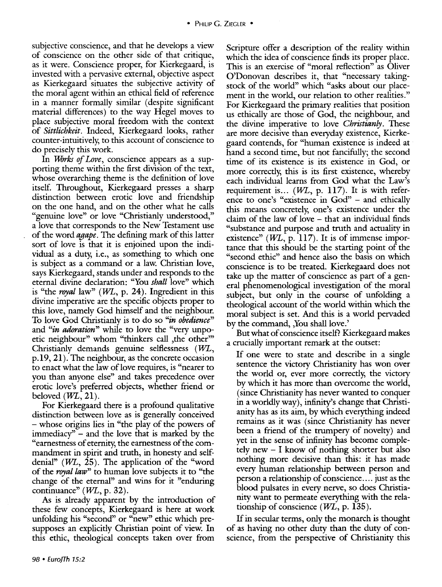subjective conscience, and that he develops a view of conscience on the other side of that critique, as it were. Conscience proper, for Kierkegaard, is invested with a pervasive external, objective aspect as Kierkegaard situates the subjective activity of the moral agent within an ethical field of reference in a manner formally similar (despite significant material differences) to the way Hegel moves to place subjective moral freedom with the context of *Sittlichkeit.* Indeed, Kierkegaard looks, rather counter-intuitively; to this account of conscience to do precisely this work.

In *Works of Love,* conscience appears as a supporting theme within the first division of the text, whose overarching theme is the definition of love itself. Throughout, Kierkegaard presses a sharp distinction between erotic love and friendship on the one hand, and on the other what he calls "genuine love" or love "Christianly understood," a love that corresponds to the New Testament use of the word *agape.* The defining mark of this latter sort of love is that it is enjoined upon the individual as a duty; i.e., as something to which one is subject as a command or a law. Christian love, says Kierkegaard, stands under and responds to the eternal divine declaration: "You *shall* love" which is "the *royal* law" (WL, p. 24). Ingredient in this divine imperative are the specific objects proper to this love, namely God himself and the neighbour. To love God Christianly is to do so *"in obedience"*  and *"in adoration"* while to love the "very unpoetic neighbour" whom "thinkers call , the other" Christianly demands genuine selflessness (WL, p.19, 21). The neighbour, as the concrete occasion to enact what the law of love requires, is "nearer to you than anyone else" and takes precedence over erotic love's preferred objects, whether friend or beloved  $(WL, 21)$ .

For Kierkegaard there is a profound qualitative distinction between love as is generally conceived - whose origins lies in "the play of the powers of immediacy'' - and the love that is marked by the "earnestness of eternity; the earnestness of the commandment in spirit and truth, in honesty and selfdenial" (WL, 25). The application of the "word of the *royal law"* to human love subjects it to "the change of the eternal" and wins for it "enduring continuance" (WL, p. 32).

As is already apparent by the introduction of these few concepts, Kierkegaard is here at work unfolding his "second" or "new" ethic which presupposes an explicitly Christian point of view. In this ethic, theological concepts taken over from

Scripture offer a description of the reality within which the idea of conscience finds its proper place. This is an exercise of "moral reflection" as Oliver O'Donovan describes it, that "necessary takingstock of the world" which "asks about our placement in the world, our relation to other realities." For Kierkegaard the primary realities that position us ethically are those of God, the neighbour, and the divine imperative to love *Christianly.* These are more decisive than everyday existence, Kierkegaard contends, for "human existence is indeed at hand a second time, but not fancifully; the second time of its existence is its existence in God, or more correctly; this is its first existence, whereby each individual learns from God what the Law's requirement is...  $(W<sub>L</sub>, p. 117)$ . It is with reference to one's "existence in God" - and ethically this means concretely; one's existence under the claim of the law of love - that an individual finds "substance and purpose and truth and actuality in existence"  $(WL, p. 117)$ . It is of immense importance that this should be the starting point of the "second ethic" and hence also the basis on which conscience is to be treated. Kierkegaard does not take up the matter of conscience as part of a general phenomenological investigation of the moral subject, but only in the course of unfolding a theological account of the world within which the moral subject is set. And this is a world pervaded by the command, ,You shall love.'

But what of conscience itself? Kierkegaard makes a crucially important remark at the outset:

If one were to state and describe in a single sentence the victory Christianity has won over the world or, ever more correctly; the victory by which it has more than overcome the world, (since Christianity has never wanted to conquer in a worldly way), infinity's change that Christianity has as its aim, by which everything indeed remains as it was (since Christianity has never been a friend of the trumpery of novelty) and yet in the sense of infinity has become completely new - I know of nothing shorter but also nothing more decisive than this: it has made every human relationship between person and person a relationship of conscience .... just as the blood pulsates in every nerve, so does Christianity want to permeate everything with the relationship of conscience  $(WL, p. 135)$ .

If in secular terms, only the monarch is thought of as having no other duty than the duty of conscience, from the perspective of Christianity this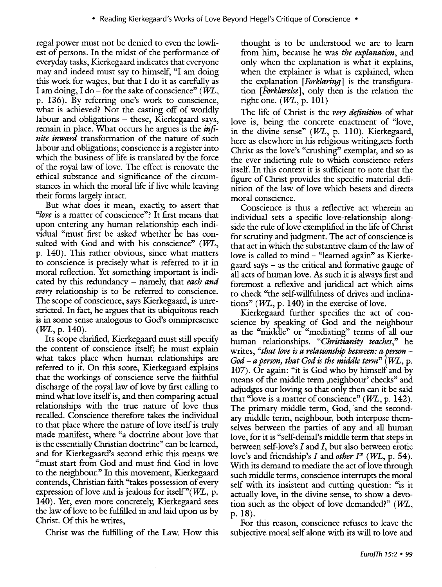regal power must not be denied to even the lowliest of persons. In the midst of the performance of everyday tasks, Kierkegaard indicates that everyone may and indeed must say to himself, "I am doing this work for wages, but that I do it as carefully as I am doing, I do – for the sake of conscience" ( $W\!L$ , p. 136). By referring one's work to conscience, what is achieved? Not the casting off of worldly labour and obligations - these, Kierkegaard says, remain in place. What occurs he argues is the *infinite inward* transformation of the nature of such labour and obligations; conscience is a register into which the business of life is translated by the force of the royal law of love. The effect is renovate the ethical substance and significance of the circumstances in which the moral life if live while leaving their forms largely intact.

But what does it mean, exactly, to assert that *"love* is a matter of conscience"? It first means that upon entering any human relationship each individual "must first be asked whether he has consulted with God and with his conscience"  $(WL,$ p. 140). This rather obvious, since what matters to conscience is precisely what is referred to it in moral reflection. Yet something important is indicated by this redundancy - namely, that *each and every* relationship is to be referred to conscience. The scope of conscience, says Kierkegaard, is unrestricted. In fact, he argues that its ubiquitous reach is in some sense analogous to God's omnipresence  $(WL, p. 140)$ .

Its scope clarified, Kierkegaard must still specify the content of conscience itself; he must explain what takes place when human relationships are referred to it. On this score, Kierkegaard explains that the workings of conscience serve the faithful discharge of the royal law of love by first calling to mind what love itself is, and then comparing actual relationships with the true nature of love thus recalled. Conscience therefore takes the individual to that place where the nature of love itself is truly made manifest, where "a doctrine about love that is the essentially Christian doctrine" can be learned, and for Kierkegaard's second ethic this means we "must start from God and must find God in love to the neighbour." In this movement, Kierkegaard contends, Christian faith "takes possession of every expression of love and is jealous for itself" $(WL, p$ . 140). Yet, even more concretely, Kierkegaard sees the law of love to be fulfilled in and laid upon us by Christ. Of this he writes,

Christ was the fulfilling of the Law. How this

thought is to be understood we are to learn from him, because he was *the explanation,* and only when the explanation is what it explains, when the explainer is what is explained, when the explanation [ *Forklaring]* is the transfiguration *[Forklarelse* ], only then is the relation the right one.  $(WL, p. 101)$ 

The life of Christ is the *very definition* of what love is, being the concrete enactment of "love, in the divine sense"  $(WL, p. 110)$ . Kierkegaard, here as elsewhere in his religious writing,sets forth Christ as the love's "crushing'' exemplar, and so as the ever indicting rule to which conscience refers itself. In this context it is sufficient to note that the figure of Christ provides the specific material definition of the law of love which besets and directs moral conscience.

Conscience is thus a reflective act wherein an individual sets a specific love-relationship alongside the rule of love exemplified in the life of Christ for scrutiny and judgment. The act of conscience is that act in which the substantive claim of the law of love is called to mind - "learned again" as Kierkegaard says - as the critical and formative gauge of all acts of human love. *As* such it is always first and foremost a reflexive and juridical act which aims to check "the self-willfulness of drives and inclinations" ( $WL$ , p. 140) in the exercise of love.

Kierkegaard further specifies the act of conscience by speaking of God and the neighbour as the "middle" or "mediating" terms of all our human relationships. *"Christianity teaches,"* he writes, "that love is a relationship between: a person – *God- a person) that God is the middle term"* (lVL, p. 107). Or again: "it is God who by himself and by means of the middle term ,neighbour' checks" and adjudges our loving so that only then can it be said that "love is a matter of conscience"  $(W<sub>L</sub>, p. 142)$ . The primary middle term, God, and the secondary middle term, neighbour, both interpose themselves between the parties of any and all human love, for it is "self-denial's middle term that steps in between self-love's  $I$  and  $I$ , but also between erotic love's and friendship's *I* and *other I*" (*WL*, p. 54). With its demand to mediate the act of love through such middle terms, conscience interrupts the moral self with its insistent and cutting question: "is it actually love, in the divine sense, to show a devotion such as the object of love demanded?"  $(WL,$ p. 18).

For this reason, conscience refuses to leave the subjective moral self alone with its will to love and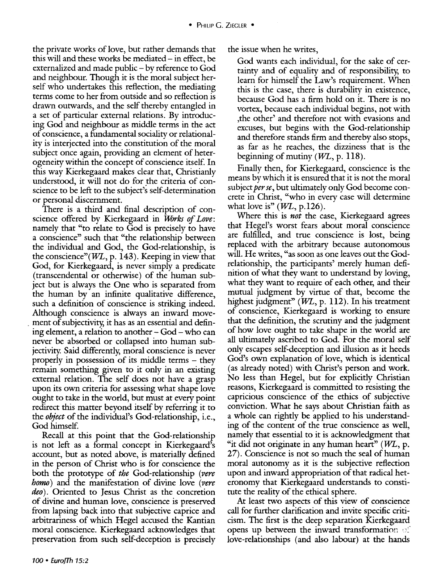the private works of love, but rather demands that this will and these works be mediated  $-$  in effect, be externalized and made public- by reference to God and neighbour. Though it is the moral subject herself who undertakes this reflection, the mediating terms come to her from outside and so reflection is drawn outwards, and the self thereby entangled in a set of particular external relations. By introducing God and neighbour as middle terms in the act of conscience, a fundamental sociality or relationality is interjected into the constitution of the moral subject once again, providing an element of heterogeneity within the concept of conscience itself. In this way Kierkegaard makes clear that, Christianly understood, it will not do for the criteria of conscience to be left to the subject's self-determination or personal discernment.

There is a third and final description of conscience offered by Kierkegaard in *Works of Love:*  namely that "to relate to God is precisely to have a conscience" such that "the relationship between the individual and God, the God-relationship, is the conscience" $(WL, p. 143)$ . Keeping in view that God, for Kierkegaard, is never simply a predicate (transcendental or otherwise) of the human subject but is always the One who is separated from the human by an infinite qualitative difference, such a definition of conscience is striking indeed. Although conscience is always an inward move- . ment of subjectivity, it has as an essential and defining element, a relation to another - God- who can never be absorbed or collapsed into human subjectivity. Said differently, moral conscience is never properly in possession of its middle terms - they remain something given to it only in an existing external relation. The self does not have a grasp upon its own criteria for assessing what shape love ought to take in the world, but must at every point redirect this matter beyond itself by referring it to the *object* of the individual's God-relationship, i.e., God himself.

Recall at this point that the God-relationship is not left as a formal concept in Kierkegaard's account, but as noted above, is materially defined in the person of Christ who is for conscience the both the prototype of *the* God-relationship *(vere homo)* and the manifestation of divine love *(vere*  deo). Oriented to Jesus Christ as the concretion of divine and human love, conscience is preserved from lapsing back into that subjective caprice and arbitrariness of which Hegel accused the Kantian moral conscience. Kierkegaard acknowledges that preservation from such self-deception is precisely

the issue when he writes,

God wants each individual, for the sake of certainty and of equality and of responsibility, to learn for himself the Law's requirement. When this is the case, there is durability in existence, because God has a firm hold on it. There is no vortex, because each individual begins, not with ,the other' and therefore not with evasions and excuses, but begins with the God-relationship and therefore stands firm and thereby also stops, as far as he reaches, the dizziness that is the beginning of mutiny  $(WL, p. 118)$ .

Finally then, for Kierkegaard, conscience is the means by which it is ensured that it is not the moral subject *per se,* but ultimately only God become concrete in Christ, "who in every case will determine what love is"  $(WL, p.126)$ .

Where this is *not* the case, Kierkegaard agrees that Hegel's worst fears about moral conscience are fulfilled, and true conscience is lost, being replaced with the arbitrary because autonomous will. He writes, "as soon as one leaves out the Godrelationship, the participants' merely human definition of what they want to understand by loving, what they want to require of each other, and their mutual judgment by virtue of that, become the highest judgment"  $(W<sub>L</sub>, p. 112)$ . In his treatment of conscience, Kierkegaard is working to ensure that the definition, the scrutiny and the judgment of how love ought to take shape in the world are all ultimately ascribed to God. For the moral self only escapes self-deception and illusion as it heeds God's own explanation of love, which is identical (as already noted) with Christ's person and work. No less than Hegel, but for explicitly Christian reasons, Kierkegaard is committed to resisting the capricious conscience of the ethics of subjective conviction. What he says about Christian faith as a whole can rightly be applied to his understanding of the content of the true conscience as well, namely that essential to it is acknowledgment that "it did not originate in any human heart"  $(W<sub>L</sub>, p.$ 27). Conscience is not so much the seal of human moral autonomy as it is the subjective reflection upon and inward appropriation of that radical heteronomy that Kierkegaard understands to constitute the reality of the ethical sphere.

At least two aspects of this view of conscience call for further clarification and invite specific criticism. The first is the deep separation Kierkegaard opens up between the inward transformation of love-relationships (and also labour) at the hands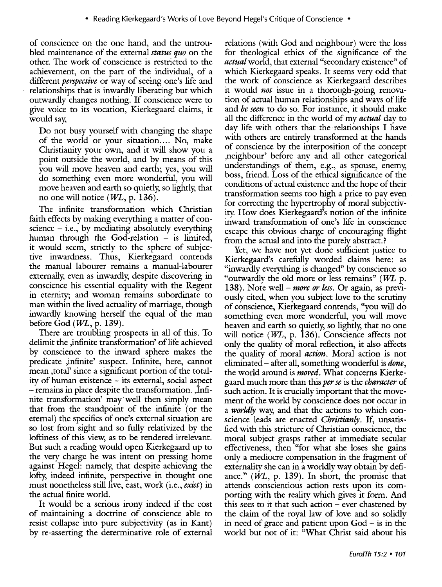of conscience on the one hand, and the untroubled maintenance of the external *status quo* on the other. The work of conscience is restricted to the achievement, on the part of the individual, of a different *perspective* or way of seeing one's life and relationships that is inwardly liberating but which outwardly changes nothing. If conscience were to give voice to its vocation, Kierkegaard claims, it would say,

Do not busy yourself with changing the shape of the world or your situation.... No, make Christianity your own, and it will show you a point outside the world, and by means of this you will move heaven and earth; yes, you will do something even more wonderful, you will move heaven and earth so quietly, so lightly, that no one will notice  $(W<sub>L</sub>, p. 136)$ .

The infinite transformation which Christian faith effects by making everything a matter of conscience  $-$  i.e., by mediating absolutely everything human through the God-relation  $-$  is limited, it would seem, strictly to the sphere of subjective inwardness. Thus, Kierkegaard contends the manual labourer remains a manual-labourer externally, even as inwardly, despite discovering in conscience his essential equality with the Regent in eternity; and woman remains subordinate to man within the lived actuality of marriage, though inwardly knowing herself the equal of the man before God  $(WL, p. 139)$ .

There are troubling prospects in all of this. To delimit the ,infinite transformation' of life achieved by conscience to the inward sphere makes the predicate ,infinite' suspect. Infinite, here, cannot mean ,total' since a significant portion of the totality of human existence - its external, social aspect -remains in place despite the transformation. ,Infinite transformation' may well then simply mean that from the standpoint of the infinite (or the eternal) the specifics of one's external situation are so lost from sight and so fully relativized by the loftiness of this view, as to be rendered irrelevant. But such a reading would open Kierkegaard up to the very charge he was intent on pressing home against Hegel: namely, that despite achieving the lofty, indeed infinite, perspective in thought one must nonetheless still live, east, work (i.e., exist) in the actual finite world.

It would be a serious irony indeed if the cost of maintaining a doctrine of conscience able to resist collapse into pure subjectivity (as in Kant) by re-asserting the determinative role of external relations (with God and neighbour) were the loss for theological ethics of the significance of the *actual* world, that external "secondary existence" of which Kierkegaard speaks. It seems very odd that the work of conscience as Kierkegaard describes it would *not* issue in a thorough-going renovation of actual human relationships and ways of life and *be seen* to do so. For instance, it should make all the difference in the world of my *actual* day to day life with others that the relationships I have with others are entirely transformed at the hands of conscience by the interposition of the concept ,neighbour' before any and all other categorical understandings of them, e.g., as spouse, enemy, boss, friend. Loss of the ethical significance of the conditions of actual existence and the hope of their transformation seems too high a price to pay even for correcting the hypertrophy of moral subjectivity. How does Kierkegaard's notion of the infinite inward transformation of one's life in conscience escape this obvious charge of encouraging flight from the actual and into the purely abstract.?

Yet, we have not yet done sufficient justice to Kierkegaard's carefully worded claims here: as "inwardly everything is changed" by conscience so "outwardly the old more or less remains" ( $WL$  p. 138). Note well- *more or less.* Or again, as previously cited, when you subject love to the scrutiny of conscience, Kierkegaard contends, "you will do something even more wonderful, you will move heaven and earth so quietly, so lightly, that no one will notice  $(W<sub>L</sub>, p. 136)$ . Conscience affects not only the quality of moral reflection, it also affects the quality of moral *action.* Moral action is not eliminated- after all, something wonderful is *done,*  the world around is *moved.* What concerns Kierkegaard much more than this *per se* is the *character* of such action. It is crucially important that the movement of the world by conscience does not occur in a *worldly* way, and that the actions to which conscience leads are enacted *Christianly.* If, unsatisfied with this stricture of Christian conscience, the moral subject grasps rather at immediate secular effectiveness, then "for what she loses she gains only a mediocre compensation in the fragment of externality she can in a worldly way obtain by defiance." (WL, p. 139). In short, the promise that attends conscientious action rests upon its comporting with the reality which gives it form. And this sees to it that such action  $-$  ever chastened by the claim of the royal law of love and so solidly in need of grace and patient upon  $God - is$  in the world but not of it: "What Christ said about his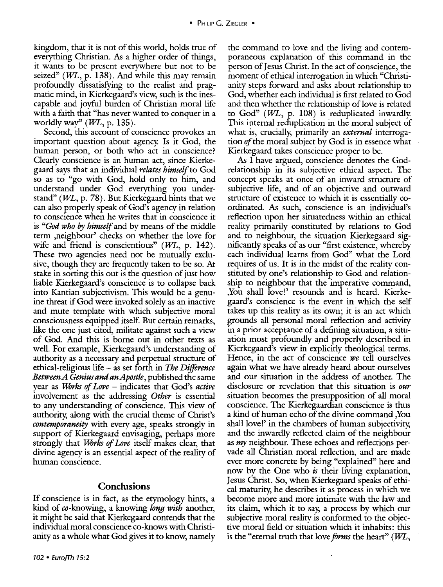kingdom, that it is not of this world, holds true of everything Christian. As a higher order of things, it wants to be present everywhere but not to be seized" ( $WL$ , p. 138). And while this may remain profoundly dissatisfying to the realist and pragmatic mind, in Kierkegaard's view, such is the inescapable and joyful burden of Christian moral life with a faith that "has never wanted to conquer in a worldly way"  $(WL, p. 135)$ .

Second, this account of conscience provokes an important question about agency. Is it God, the human person, or both who act in conscience? Clearly conscience is an human act, since Kierkegaard says that an individual *relates himself* to God so as to "go with God, hold only to him, and understand under God everything you understand" ( $WL$ , p. 78). But Kierkegaard hints that we can also properly speak of God's agency in relation to conscience when he writes that in conscience it is *"God who* by *himself* and by means of the middle term ,neighbour' checks on whether the love for wife and friend is conscientious"  $(WL, p. 142)$ . These two agencies need not be mutually exclusive, though they are frequently taken to be so. At stake in sorting this out is the question of just how liable Kierkegaard's conscience is to collapse back into Kantian subjectivism. This would be a genuine threat if God were invoked solely as an inactive and mute template with which subjective moral consciousness equipped itself. But certain remarks, like the one just cited, militate against such a view of God. And this is borne out in other texts as well. For example, Kierkegaard's understanding of authority as a necessary and perpetual structure of ethical-religious life- as set forth in *The Difference Between A Genius and an Apostle,* published the same year as *UVrks of Love* - indicates that God's *active*  involvement as the addressing *Other* is essential to any understanding of conscience. This view of authority, along with the crucial theme of Christ's *contemporaneity* with every age, speaks strongly in support of Kierkegaard envisaging, perhaps more strongly that *UVrks of Love* itself makes clear, that divine agency is an essential aspect of the reality of human conscience.

### **Conclusions**

If conscience is in fact, as the etymology hints, a kind of eo-knowing, a knowing *long with* another, it might be said that Kierkegaard contends that the individual moral conscience eo-knows with Christianity as a whole what God gives it to know, namely

the command to love and the living and contemporaneous explanation of this command in the person of Jesus Christ. In the act of conscience, the moment of ethical interrogation in which "Christianity steps forward and asks about relationship to God, whether each individual is first related to God and then whether the relationship of love is related to God"  $(WL, p. 108)$  is reduplicated inwardly. This internal reduplication in the moral subject of what is, crucially, primarily an *external* interrogation *of* the moral subject by God is in essence what Kierkegaard takes conscience proper to be.

As I have argued, conscience denotes the Godrelationship in its subjective ethical aspect. The concept speaks at once of an inward structure of subjective life, and of an objective and outward structure of existence to which it is essentially coordinated. As such, conscience is an individual's reflection upon her situatedness within an ethical reality primarily constituted by relations to God and to neighbour, the situation Kierkegaard significantly speaks of as our "first existence, whereby each individual learns from God" what the Lord requires of us. It is in the midst of the reality constituted by one's relationship to God and relationship to neighbour that the imperative command, ,You shall love!' resounds and is heard. Kierkegaard's conscience is the event in which the self takes up this reality as its own; it is an act which grounds all personal moral reflection and activity in a prior acceptance of a defining situation, a situation most profoundly and properly described in Kierkegaard's view in explicitly theological terms. Hence, in the act of conscience *we* tell ourselves again what we have already heard about ourselves and our situation in the address of another. The disclosure or revelation that this situation is *our*  situation becomes the presupposition of all moral conscience. The Kierkegaardian conscience is thus a kind of human echo of the divine command ,You shall love!' in the chambers of human subjectivity, and the inwardly reflected claim of the neighbour as *my* neighbour. These echoes and reflections pervade all Christian moral reflection, and are made ever more concrete by being "explained" here and now by the One who *is* their living explanation, Jesus Christ. So, when Kierkegaard speaks of ethical maturity, he describes it as process in which we become more and more intimate with the law and its claim, which it to say, a process by which our subjective moral reality is conformed to the objective moral field or situation which it inhabits: this is the "eternal truth that love *forms* the heart" ( $W\!L,$